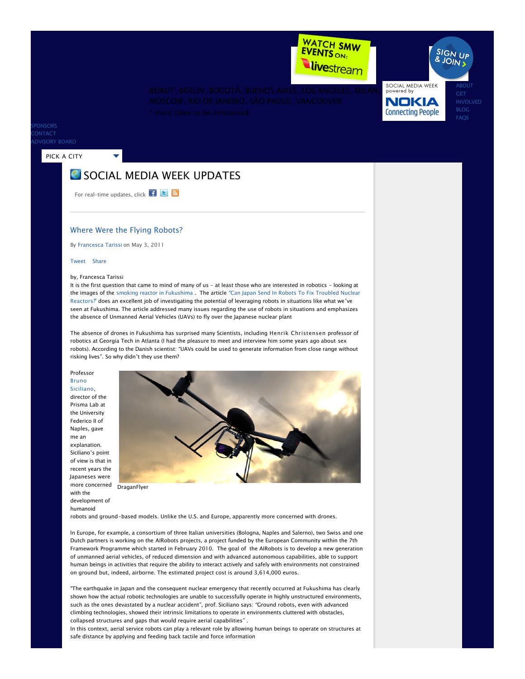

SOCIAL MEDIA WEEK<br>powered by NOKIA **Connecting People** 

[ABOUT](http://socialmediaweek.org/about/) [BLOG](http://socialmediaweek.org/blog/) [FAQS](http://socialmediaweek.org/faqs/)

**SIGN UP** 

PONSORS **ONTACT** [ADVISORY BOARD](http://socialmediaweek.org/advisory-board/)

### [PICK A CITY](http://socialmediaweek.org/blog/2011/05/03/where-were-the-flying-robots/#)

# **S** SOCIAL MEDIA WEEK UPDATES

For real-time updates, click  $\begin{array}{|c|c|c|}\n\hline\n\textbf{F} & \textbf{E} & \textbf{N}\n\end{array}$ 

## Where Were the Flying Robots?

By [Francesca Tarissi](http://socialmediaweek.org/blog/author/francescatarissi/) on May 3, 2011

#### Tweet [Share](http://www.facebook.com/sharer.php)

#### by, Francesca Tarissi

It is the first question that came to mind of many of us - at least those who are interested in robotics - looking at the images of the [smoking reactor in Fukushima](http://www.euronews.net/2011/03/23/black-smoke-belches-out-of-fukushima-reactor) . The article "Can Japan Send In Robots To Fix Troubled Nuclear Reactors?" [does an excellent job of investigating the potential of leveraging robots in situations like what we've](http://spectrum.ieee.org/automaton/robotics/industrial-robots/japan-robots-to-fix-troubled-nuclear-reactors)  seen at Fukushima. The article addressed many issues regarding the use of robots in situations and emphasizes the absence of Unmanned Aerial Vehicles (UAVs) to fly over the Japanese nuclear plant

The absence of drones in Fukushima has surprised many Scientists, including [Henrik Christensen](http://www.hichristensen.net/) professor of [robotics at Georgia Tech in Atlanta \(I had the pleasure to meet and interview him some years ago about](http://espresso.repubblica.it/dettaglio/ho-fatto-lamore-con-una-robot/1348536) sex robots). According to the Danish scientist: "UAVs could be used to generate information from close range without risking lives". So why didn't they use them?

Professor Bruno [Siciliano](http://wpage.unina.it/sicilian/),

director of the [Prisma Lab](http://www.prisma.unina.it/) at the University Federico II of Naples, gave me an explanation.

Siciliano's point of view is that in recent years the Japaneses were more concerned with the development of

humanoid



robots and ground-based models. Unlike the U.S. and Europe, apparently more concerned with drones.

In Europe, for example, a consortium of three Italian universities (Bologna, Naples and Salerno), two Swiss and one Dutch partners is working on the [AIRobots projects](http://socialmediaweek.org/blog/2011/05/03/where-were-the-flying-robots/www.airobots.eu), a project funded by the European Community within the 7th Framework Programme which started in February 2010. The goal of the AIRobots is to develop a new generation of unmanned aerial vehicles, of reduced dimension and with advanced autonomous capabilities, able to support human beings in activities that require the ability to interact actively and safely with environments not constrained on ground but, indeed, airborne. The estimated project cost is around 3,614,000 euros.

"The earthquake in Japan and the consequent nuclear emergency that recently occurred at Fukushima has clearly shown how the actual robotic technologies are unable to successfully operate in highly unstructured environments, such as the ones devastated by a nuclear accident", prof. Siciliano says: "Ground robots, even with advanced climbing technologies, showed their intrinsic limitations to operate in environments cluttered with obstacles, collapsed structures and gaps that would require aerial capabilities" .

In this context, aerial service robots can play a relevant role by allowing human beings to operate on structures at safe distance by applying and feeding back tactile and force information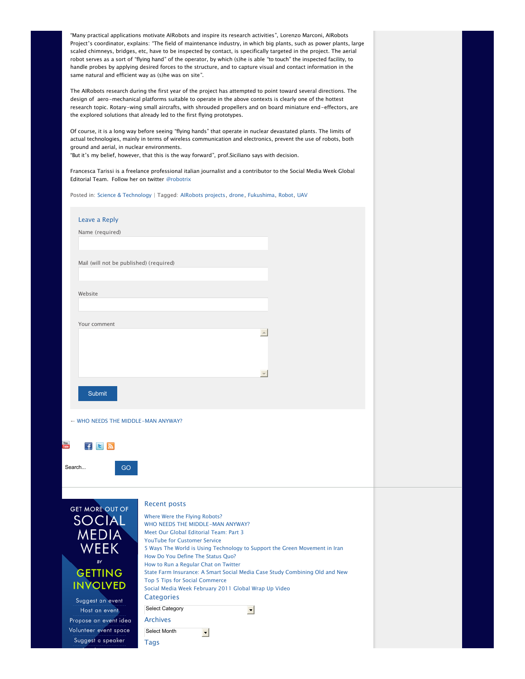"Many practical applications motivate AIRobots and inspire its research activities", Lorenzo Marconi, AIRobots Project's coordinator, explains: "The field of maintenance industry, in which big plants, such as power plants, large scaled chimneys, bridges, etc, have to be inspected by contact, is specifically targeted in the project. The aerial robot serves as a sort of "flying hand" of the operator, by which (s)he is able "to touch" the inspected facility, to handle probes by applying desired forces to the structure, and to capture visual and contact information in the same natural and efficient way as (s)he was on site".

The AIRobots research during the first year of the project has attempted to point toward several directions. The design of aero-mechanical platforms suitable to operate in the above contexts is clearly one of the hottest research topic. Rotary-wing small aircrafts, with shrouded propellers and on board miniature end-effectors, are the explored solutions that already led to the first flying prototypes.

Of course, it is a long way before seeing "flying hands" that operate in nuclear devastated plants. The limits of actual technologies, mainly in terms of wireless communication and electronics, prevent the use of robots, both ground and aerial, in nuclear environments.

"But it's my belief, however, that this is the way forward", prof.Siciliano says with decision.

Francesca Tarissi is a freelance professional italian journalist and a contributor to the Social Media Week Global Editorial Team. Follow her on twitter [@robotrix](http://www.twitter.com/robotrix)

Posted in: [Science & Technology](http://socialmediaweek.org/blog/category/science-technology/) | Tagged: [AIRobots projects](http://socialmediaweek.org/blog/tag/airobots-projects/), [drone](http://socialmediaweek.org/blog/tag/drone/), [Fukushima,](http://socialmediaweek.org/blog/tag/fukushima/) [Robot](http://socialmediaweek.org/blog/tag/robot/), [UAV](http://socialmediaweek.org/blog/tag/uav/)

| Leave a Reply                              |                                                                                        |  |
|--------------------------------------------|----------------------------------------------------------------------------------------|--|
| Name (required)                            |                                                                                        |  |
|                                            |                                                                                        |  |
|                                            |                                                                                        |  |
| Mail (will not be published) (required)    |                                                                                        |  |
|                                            |                                                                                        |  |
| Website                                    |                                                                                        |  |
|                                            |                                                                                        |  |
|                                            |                                                                                        |  |
| Your comment                               |                                                                                        |  |
|                                            | $\left\vert \mathbb{A}\right\vert$                                                     |  |
|                                            |                                                                                        |  |
|                                            |                                                                                        |  |
|                                            | $\overline{\mathcal{M}}$                                                               |  |
|                                            |                                                                                        |  |
| <b>Submit</b>                              |                                                                                        |  |
|                                            |                                                                                        |  |
| You<br>$F$ $\overline{B}$ $\overline{N}$   |                                                                                        |  |
|                                            |                                                                                        |  |
| Search<br>GO                               |                                                                                        |  |
|                                            | <b>Recent posts</b>                                                                    |  |
| <b>GET MORE OUT OF</b>                     | Where Were the Flying Robots?                                                          |  |
| <b>SOCIAL</b>                              | WHO NEEDS THE MIDDLE-MAN ANYWAY?                                                       |  |
| <b>MEDIA</b>                               | Meet Our Global Editorial Team: Part 3<br><b>YouTube for Customer Service</b>          |  |
| <b>WEEK</b>                                | 5 Ways The World is Using Technology to Support the Green Movement in Iran             |  |
| BY                                         | How Do You Define The Status Quo?<br>How to Run a Regular Chat on Twitter              |  |
| <b>GETTING</b>                             | State Farm Insurance: A Smart Social Media Case Study Combining Old and New            |  |
| <b>INVOLVED</b>                            | Top 5 Tips for Social Commerce<br>Social Media Week February 2011 Global Wrap Up Video |  |
| Suggest an event                           | <b>Categories</b>                                                                      |  |
| Host an event                              | Select Category<br>$\blacksquare$                                                      |  |
| Propose an event idea                      | <b>Archives</b>                                                                        |  |
| Volunteer event space<br>Suggest a speaker | Select Month<br>$\overline{\phantom{a}}$                                               |  |